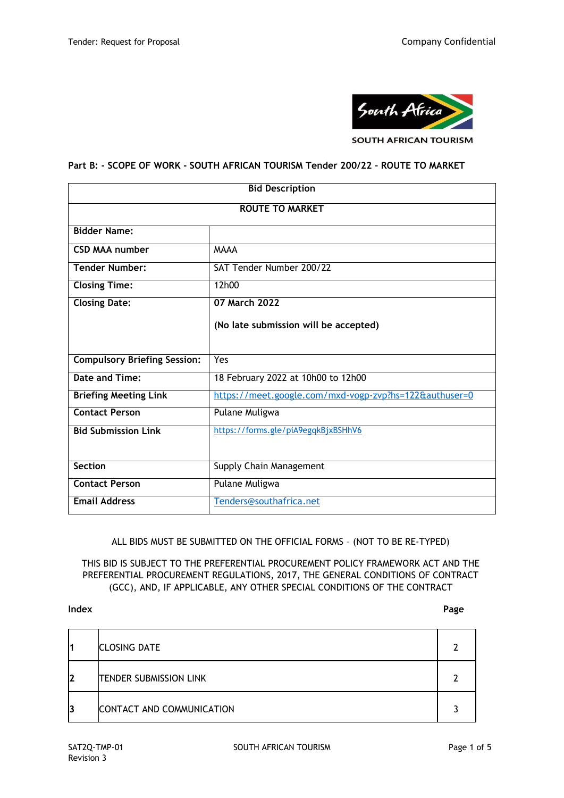

**SOUTH AFRICAN TOURISM** 

#### **Part B: - SCOPE OF WORK - SOUTH AFRICAN TOURISM Tender 200/22 – ROUTE TO MARKET**

| <b>Bid Description</b>              |                                                        |  |  |  |
|-------------------------------------|--------------------------------------------------------|--|--|--|
| <b>ROUTE TO MARKET</b>              |                                                        |  |  |  |
| <b>Bidder Name:</b>                 |                                                        |  |  |  |
| <b>CSD MAA number</b>               | <b>MAAA</b>                                            |  |  |  |
| <b>Tender Number:</b>               | SAT Tender Number 200/22                               |  |  |  |
| <b>Closing Time:</b>                | 12h00                                                  |  |  |  |
| <b>Closing Date:</b>                | 07 March 2022                                          |  |  |  |
|                                     | (No late submission will be accepted)                  |  |  |  |
|                                     |                                                        |  |  |  |
| <b>Compulsory Briefing Session:</b> | Yes                                                    |  |  |  |
| Date and Time:                      | 18 February 2022 at 10h00 to 12h00                     |  |  |  |
| <b>Briefing Meeting Link</b>        | https://meet.google.com/mxd-vogp-zvp?hs=122&authuser=0 |  |  |  |
| <b>Contact Person</b>               | Pulane Muligwa                                         |  |  |  |
| <b>Bid Submission Link</b>          | https://forms.gle/piA9egqkBjxBSHhV6                    |  |  |  |
|                                     |                                                        |  |  |  |
| <b>Section</b>                      | Supply Chain Management                                |  |  |  |
| <b>Contact Person</b>               | Pulane Muligwa                                         |  |  |  |
| <b>Email Address</b>                | Tenders@southafrica.net                                |  |  |  |

ALL BIDS MUST BE SUBMITTED ON THE OFFICIAL FORMS – (NOT TO BE RE-TYPED)

THIS BID IS SUBJECT TO THE PREFERENTIAL PROCUREMENT POLICY FRAMEWORK ACT AND THE PREFERENTIAL PROCUREMENT REGULATIONS, 2017, THE GENERAL CONDITIONS OF CONTRACT (GCC), AND, IF APPLICABLE, ANY OTHER SPECIAL CONDITIONS OF THE CONTRACT

#### **Index Page**

|    | <b>CLOSING DATE</b>              |  |
|----|----------------------------------|--|
| l2 | <b>TENDER SUBMISSION LINK</b>    |  |
| 13 | <b>CONTACT AND COMMUNICATION</b> |  |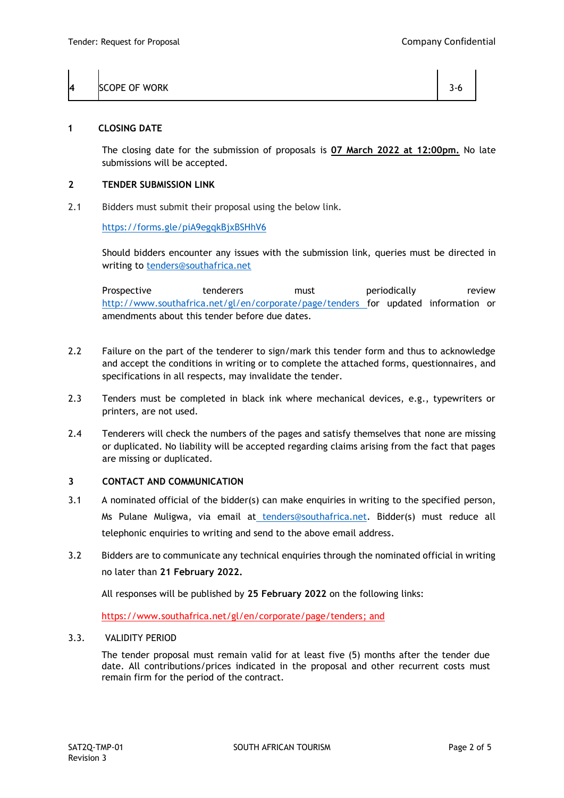| 14 | <b>SCOPE OF WORK</b> |  |
|----|----------------------|--|
|    |                      |  |

#### **1 CLOSING DATE**

The closing date for the submission of proposals is **07 March 2022 at 12:00pm.** No late submissions will be accepted.

#### **2 TENDER SUBMISSION LINK**

2.1 Bidders must submit their proposal using the below link.

<https://forms.gle/piA9egqkBjxBSHhV6>

Should bidders encounter any issues with the submission link, queries must be directed in writing to [tenders@southafrica.net](mailto:tenders@southafrica.net)

Prospective tenderers must periodically review <http://www.southafrica.net/gl/en/corporate/page/tenders> for updated information or amendments about this tender before due dates.

- 2.2 Failure on the part of the tenderer to sign/mark this tender form and thus to acknowledge and accept the conditions in writing or to complete the attached forms, questionnaires, and specifications in all respects, may invalidate the tender.
- 2.3 Tenders must be completed in black ink where mechanical devices, e.g., typewriters or printers, are not used.
- 2.4 Tenderers will check the numbers of the pages and satisfy themselves that none are missing or duplicated. No liability will be accepted regarding claims arising from the fact that pages are missing or duplicated.

# **3 CONTACT AND COMMUNICATION**

- 3.1 A nominated official of the bidder(s) can make enquiries in writing to the specified person, Ms Pulane Muligwa, via email at [tenders@southafrica.net.](mailto:%20tenders@southafrica.net) Bidder(s) must reduce all telephonic enquiries to writing and send to the above email address.
- 3.2 Bidders are to communicate any technical enquiries through the nominated official in writing no later than **21 February 2022.**

All responses will be published by **25 February 2022** on the following links:

[https://www.southafrica.net/gl/en/corporate/page/tenders;](https://www.southafrica.net/gl/en/corporate/page/tenders) and

# 3.3. VALIDITY PERIOD

The tender proposal must remain valid for at least five (5) months after the tender due date. All contributions/prices indicated in the proposal and other recurrent costs must remain firm for the period of the contract.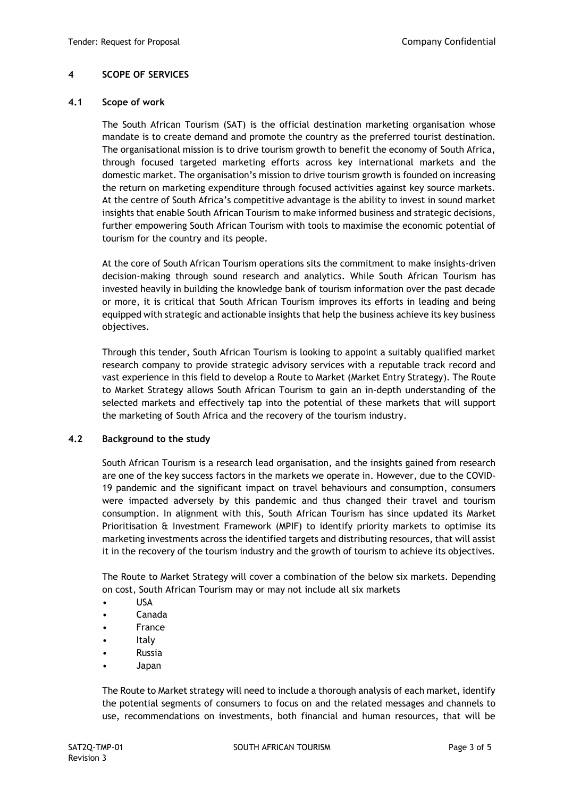# **4 SCOPE OF SERVICES**

#### **4.1 Scope of work**

The South African Tourism (SAT) is the official destination marketing organisation whose mandate is to create demand and promote the country as the preferred tourist destination. The organisational mission is to drive tourism growth to benefit the economy of South Africa, through focused targeted marketing efforts across key international markets and the domestic market. The organisation's mission to drive tourism growth is founded on increasing the return on marketing expenditure through focused activities against key source markets. At the centre of South Africa's competitive advantage is the ability to invest in sound market insights that enable South African Tourism to make informed business and strategic decisions, further empowering South African Tourism with tools to maximise the economic potential of tourism for the country and its people.

At the core of South African Tourism operations sits the commitment to make insights-driven decision-making through sound research and analytics. While South African Tourism has invested heavily in building the knowledge bank of tourism information over the past decade or more, it is critical that South African Tourism improves its efforts in leading and being equipped with strategic and actionable insights that help the business achieve its key business objectives.

Through this tender, South African Tourism is looking to appoint a suitably qualified market research company to provide strategic advisory services with a reputable track record and vast experience in this field to develop a Route to Market (Market Entry Strategy). The Route to Market Strategy allows South African Tourism to gain an in-depth understanding of the selected markets and effectively tap into the potential of these markets that will support the marketing of South Africa and the recovery of the tourism industry.

# **4.2 Background to the study**

South African Tourism is a research lead organisation, and the insights gained from research are one of the key success factors in the markets we operate in. However, due to the COVID-19 pandemic and the significant impact on travel behaviours and consumption, consumers were impacted adversely by this pandemic and thus changed their travel and tourism consumption. In alignment with this, South African Tourism has since updated its Market Prioritisation & Investment Framework (MPIF) to identify priority markets to optimise its marketing investments across the identified targets and distributing resources, that will assist it in the recovery of the tourism industry and the growth of tourism to achieve its objectives.

The Route to Market Strategy will cover a combination of the below six markets. Depending on cost, South African Tourism may or may not include all six markets

- USA
- Canada
- **France**
- **Italy**
- Russia
- Japan

The Route to Market strategy will need to include a thorough analysis of each market, identify the potential segments of consumers to focus on and the related messages and channels to use, recommendations on investments, both financial and human resources, that will be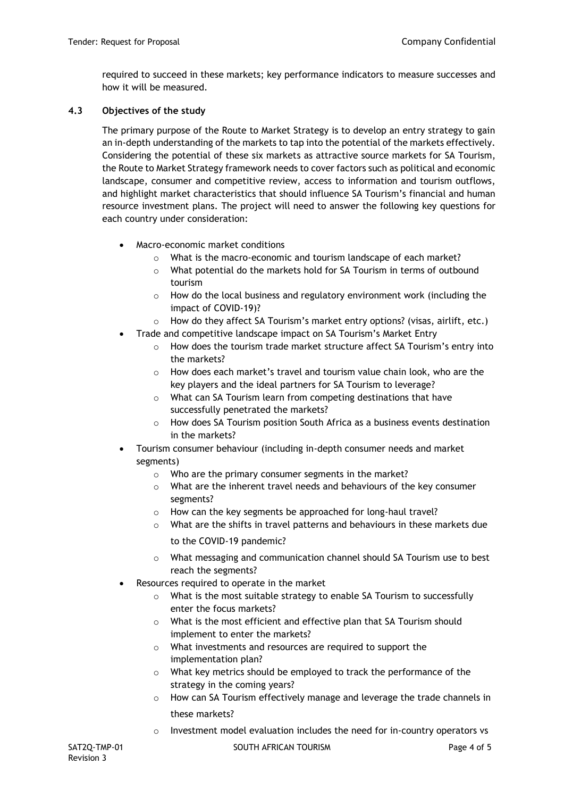required to succeed in these markets; key performance indicators to measure successes and how it will be measured.

# **4.3 Objectives of the study**

The primary purpose of the Route to Market Strategy is to develop an entry strategy to gain an in-depth understanding of the markets to tap into the potential of the markets effectively. Considering the potential of these six markets as attractive source markets for SA Tourism, the Route to Market Strategy framework needs to cover factors such as political and economic landscape, consumer and competitive review, access to information and tourism outflows, and highlight market characteristics that should influence SA Tourism's financial and human resource investment plans. The project will need to answer the following key questions for each country under consideration:

- Macro-economic market conditions
	- o What is the macro-economic and tourism landscape of each market?
	- o What potential do the markets hold for SA Tourism in terms of outbound tourism
	- o How do the local business and regulatory environment work (including the impact of COVID-19)?
	- o How do they affect SA Tourism's market entry options? (visas, airlift, etc.)
- Trade and competitive landscape impact on SA Tourism's Market Entry
	- o How does the tourism trade market structure affect SA Tourism's entry into the markets?
	- $\circ$  How does each market's travel and tourism value chain look, who are the key players and the ideal partners for SA Tourism to leverage?
	- o What can SA Tourism learn from competing destinations that have successfully penetrated the markets?
	- o How does SA Tourism position South Africa as a business events destination in the markets?
- Tourism consumer behaviour (including in-depth consumer needs and market segments)
	- o Who are the primary consumer segments in the market?
	- $\circ$  What are the inherent travel needs and behaviours of the key consumer segments?
	- o How can the key segments be approached for long-haul travel?
	- $\circ$  What are the shifts in travel patterns and behaviours in these markets due to the COVID-19 pandemic?
	- o What messaging and communication channel should SA Tourism use to best reach the segments?
- Resources required to operate in the market
	- o What is the most suitable strategy to enable SA Tourism to successfully enter the focus markets?
	- o What is the most efficient and effective plan that SA Tourism should implement to enter the markets?
	- o What investments and resources are required to support the implementation plan?
	- o What key metrics should be employed to track the performance of the strategy in the coming years?
	- $\circ$  How can SA Tourism effectively manage and leverage the trade channels in these markets?
	- o Investment model evaluation includes the need for in-country operators vs